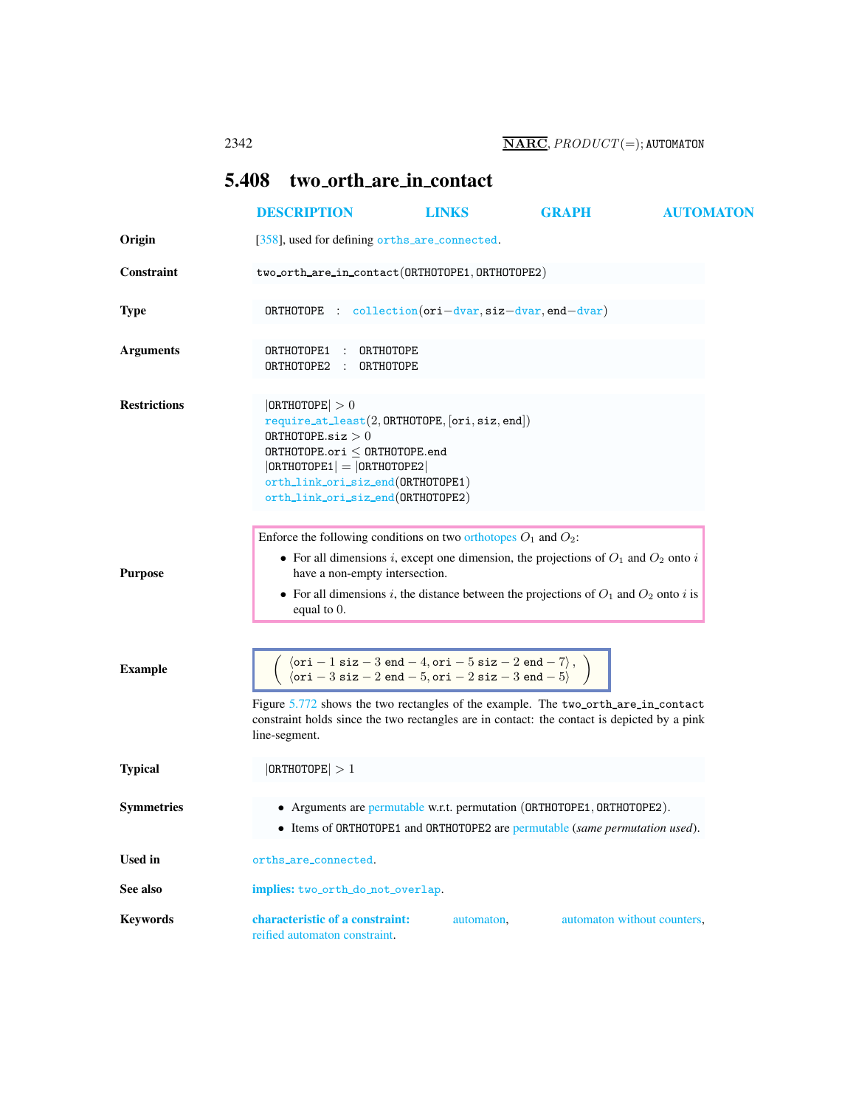## <span id="page-0-0"></span>5.408 two orth are in contact

<span id="page-0-1"></span>

|                     | <b>DESCRIPTION</b>                                                                                                                                                                                                                                                                                                                                  | <b>LINKS</b> | <b>GRAPH</b>                | <b>AUTOMATON</b> |
|---------------------|-----------------------------------------------------------------------------------------------------------------------------------------------------------------------------------------------------------------------------------------------------------------------------------------------------------------------------------------------------|--------------|-----------------------------|------------------|
| Origin              | [358], used for defining orths_are_connected.                                                                                                                                                                                                                                                                                                       |              |                             |                  |
| <b>Constraint</b>   | two_orth_are_in_contact(ORTHOTOPE1, ORTHOTOPE2)                                                                                                                                                                                                                                                                                                     |              |                             |                  |
| <b>Type</b>         | $\texttt{ORTHOTOPE}$ : $\text{collection}(ori-dvar, \texttt{size}-dvar, \texttt{end}-dvar)$                                                                                                                                                                                                                                                         |              |                             |                  |
| <b>Arguments</b>    | ORTHOTOPE1 :<br>ORTHOTOPE<br>ORTHOTOPE2:<br>ORTHOTOPE                                                                                                                                                                                                                                                                                               |              |                             |                  |
| <b>Restrictions</b> | $ \texttt{ORTHOTOPE}  > 0$<br>$require\_at\_least(2, ORTHOTOPE, [ori, siz, end])$<br>$0$ RTHOTOPE.siz $>0$<br>ORTHOTOPE.ori $\leq$ ORTHOTOPE.end<br>$ ORTHOTOPE1  =  ORTHOTOPE2 $<br>orth_link_ori_siz_end(ORTHOTOPE1)<br>orth_link_ori_siz_end(ORTHOTOPE2)                                                                                         |              |                             |                  |
| <b>Purpose</b>      | Enforce the following conditions on two orthotopes $O_1$ and $O_2$ :<br>• For all dimensions i, except one dimension, the projections of $O_1$ and $O_2$ onto i<br>have a non-empty intersection.                                                                                                                                                   |              |                             |                  |
|                     | • For all dimensions i, the distance between the projections of $O_1$ and $O_2$ onto i is<br>equal to 0.                                                                                                                                                                                                                                            |              |                             |                  |
| <b>Example</b>      | $\langle$ ori - 1 siz - 3 end - 4, ori - 5 siz - 2 end - 7 $\rangle$ ,<br>$\langle$ ori - 3 siz - 2 end - 5, ori - 2 siz - 3 end - 5 $\rangle$<br>Figure 5.772 shows the two rectangles of the example. The two-orth-are-in-contact<br>constraint holds since the two rectangles are in contact: the contact is depicted by a pink<br>line-segment. |              |                             |                  |
| <b>Typical</b>      | 0RTHOTOPE  > 1                                                                                                                                                                                                                                                                                                                                      |              |                             |                  |
| <b>Symmetries</b>   | • Arguments are permutable w.r.t. permutation (ORTHOTOPE1, ORTHOTOPE2).<br>Items of ORTHOTOPE1 and ORTHOTOPE2 are permutable (same permutation used).                                                                                                                                                                                               |              |                             |                  |
| <b>Used</b> in      | orths_are_connected.                                                                                                                                                                                                                                                                                                                                |              |                             |                  |
| See also            | implies: two_orth_do_not_overlap.                                                                                                                                                                                                                                                                                                                   |              |                             |                  |
| <b>Keywords</b>     | characteristic of a constraint:<br>reified automaton constraint.                                                                                                                                                                                                                                                                                    | automaton,   | automaton without counters, |                  |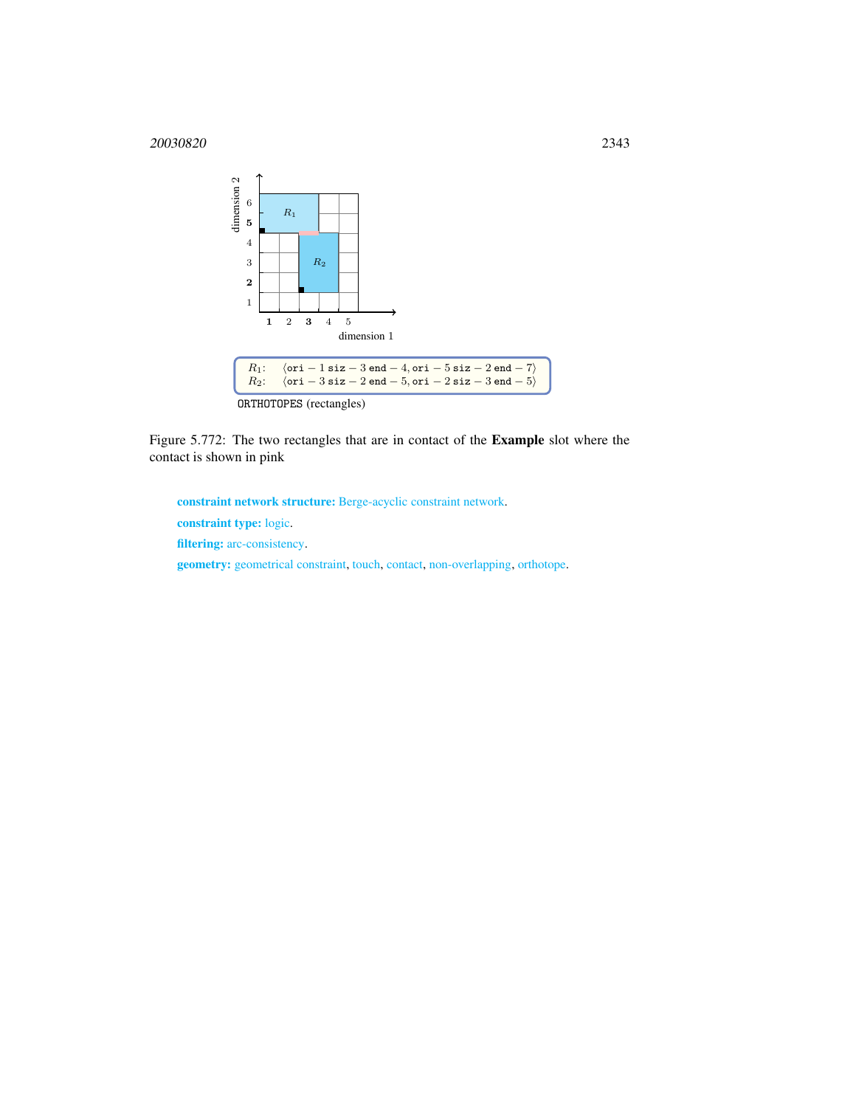

Figure 5.772: The two rectangles that are in contact of the Example slot where the contact is shown in pink

<span id="page-1-0"></span>constraint network structure: Berge-acyclic constraint network. constraint type: logic. filtering: arc-consistency. geometry: geometrical constraint, touch, contact, non-overlapping, orthotope.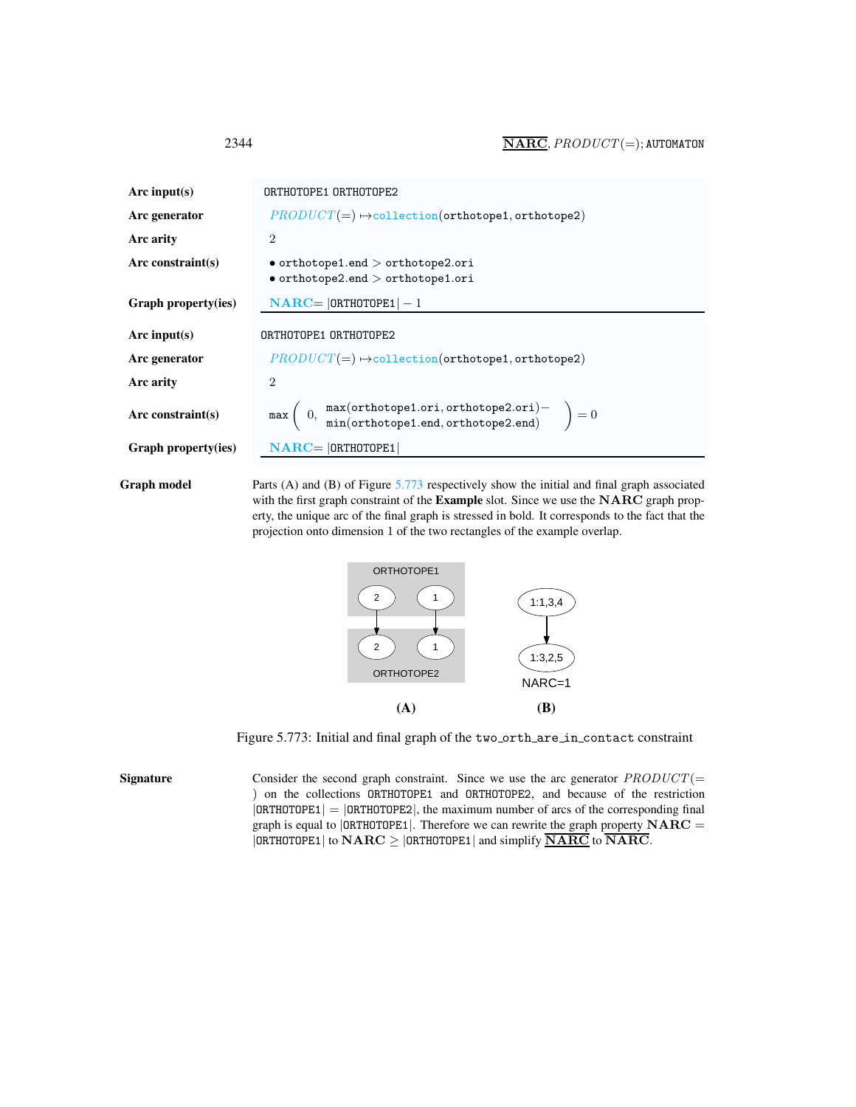<span id="page-2-0"></span>

| Arc input(s)             | ORTHOTOPE1 ORTHOTOPE2                                                                                                      |  |  |
|--------------------------|----------------------------------------------------------------------------------------------------------------------------|--|--|
| Arc generator            | $PRODUCT(=) \rightarrow collection(orthotope1, orthotope2)$                                                                |  |  |
| Arc arity                | $\overline{2}$                                                                                                             |  |  |
| Arc constraint(s)        | $\bullet$ orthotope1.end $>$ orthotope2.ori<br>$\bullet$ orthotope2.end $>$ orthotope1.ori                                 |  |  |
| Graph property(ies)      | $\mathbf{NARC} =  \mathbf{ORTHOTOPE1}  - 1$                                                                                |  |  |
| Arc input(s)             | ORTHOTOPE1 ORTHOTOPE2                                                                                                      |  |  |
| Arc generator            | $PRODUCT(=) \rightarrow collection(orthotope1, orthotope2)$                                                                |  |  |
| Arc arity                | $\overline{2}$                                                                                                             |  |  |
| Arc constraint $(s)$     | $\max\left(\begin{array}{cc}0, & \max(\text{orthotope1}.\text{ori}), \text{orthotope2}.\text{ori})-\end{array}\right) = 0$ |  |  |
| Graph property(ies)      | $NARC =  ORTHOTOPE1 $                                                                                                      |  |  |
| Tabang daon <sup>r</sup> | Douts $(A)$ and $(D)$ of Eigens 5.772 nonportunity show the initial and final quanti associated                            |  |  |

Graph model Parts (A) and (B) of Figure [5.773](#page-2-1) respectively show the initial and final graph associated with the first graph constraint of the Example slot. Since we use the NARC graph property, the unique arc of the final graph is stressed in bold. It corresponds to the fact that the projection onto dimension 1 of the two rectangles of the example overlap.



<span id="page-2-1"></span>Figure 5.773: Initial and final graph of the two orth are in contact constraint

Signature Consider the second graph constraint. Since we use the arc generator  $PRODUCT(=$ ) on the collections ORTHOTOPE1 and ORTHOTOPE2, and because of the restriction  $|ORTHOTOPE1| = |ORTHOTOPE2|$ , the maximum number of arcs of the corresponding final graph is equal to  $|$ ORTHOTOPE1|. Therefore we can rewrite the graph property  $NARC =$  $|ORTHOTOPE1|$  to  $NARC \ge |ORTHOTOPE1|$  and simplify  $\overline{NARC}$  to  $\overline{NARC}$ .